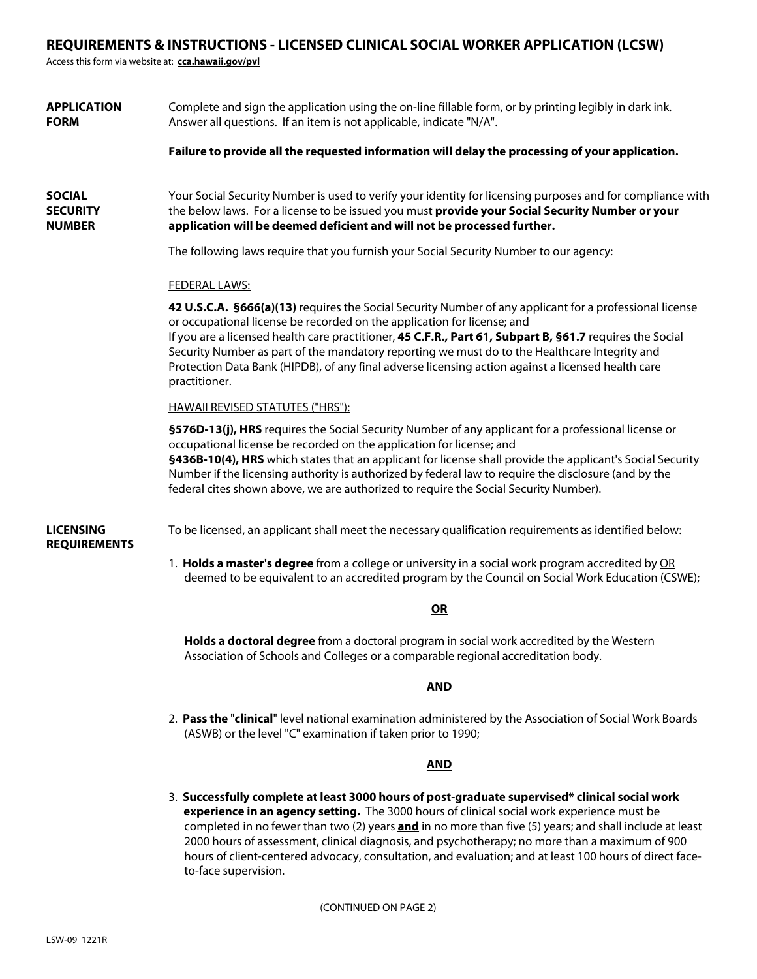# **REQUIREMENTS & INSTRUCTIONS - LICENSED CLINICAL SOCIAL WORKER APPLICATION (LCSW)**

Access this form via website at: **cca.hawaii.gov/pvl**

| <b>APPLICATION</b><br><b>FORM</b>                 | Complete and sign the application using the on-line fillable form, or by printing legibly in dark ink.<br>Answer all questions. If an item is not applicable, indicate "N/A".                                                                                                                                                                                                                                                                                                                                          |
|---------------------------------------------------|------------------------------------------------------------------------------------------------------------------------------------------------------------------------------------------------------------------------------------------------------------------------------------------------------------------------------------------------------------------------------------------------------------------------------------------------------------------------------------------------------------------------|
|                                                   | Failure to provide all the requested information will delay the processing of your application.                                                                                                                                                                                                                                                                                                                                                                                                                        |
| <b>SOCIAL</b><br><b>SECURITY</b><br><b>NUMBER</b> | Your Social Security Number is used to verify your identity for licensing purposes and for compliance with<br>the below laws. For a license to be issued you must provide your Social Security Number or your<br>application will be deemed deficient and will not be processed further.                                                                                                                                                                                                                               |
|                                                   | The following laws require that you furnish your Social Security Number to our agency:                                                                                                                                                                                                                                                                                                                                                                                                                                 |
|                                                   | <b>FEDERAL LAWS:</b>                                                                                                                                                                                                                                                                                                                                                                                                                                                                                                   |
|                                                   | 42 U.S.C.A. §666(a)(13) requires the Social Security Number of any applicant for a professional license<br>or occupational license be recorded on the application for license; and<br>If you are a licensed health care practitioner, 45 C.F.R., Part 61, Subpart B, §61.7 requires the Social<br>Security Number as part of the mandatory reporting we must do to the Healthcare Integrity and<br>Protection Data Bank (HIPDB), of any final adverse licensing action against a licensed health care<br>practitioner. |
|                                                   | <b>HAWAII REVISED STATUTES ("HRS"):</b>                                                                                                                                                                                                                                                                                                                                                                                                                                                                                |
|                                                   | §576D-13(j), HRS requires the Social Security Number of any applicant for a professional license or<br>occupational license be recorded on the application for license; and<br>§436B-10(4), HRS which states that an applicant for license shall provide the applicant's Social Security<br>Number if the licensing authority is authorized by federal law to require the disclosure (and by the<br>federal cites shown above, we are authorized to require the Social Security Number).                               |
| <b>LICENSING</b><br><b>REQUIREMENTS</b>           | To be licensed, an applicant shall meet the necessary qualification requirements as identified below:                                                                                                                                                                                                                                                                                                                                                                                                                  |
|                                                   | 1. Holds a master's degree from a college or university in a social work program accredited by OR<br>deemed to be equivalent to an accredited program by the Council on Social Work Education (CSWE);                                                                                                                                                                                                                                                                                                                  |
|                                                   | OR                                                                                                                                                                                                                                                                                                                                                                                                                                                                                                                     |
|                                                   | Holds a doctoral degree from a doctoral program in social work accredited by the Western<br>Association of Schools and Colleges or a comparable regional accreditation body.                                                                                                                                                                                                                                                                                                                                           |
|                                                   | <b>AND</b>                                                                                                                                                                                                                                                                                                                                                                                                                                                                                                             |
|                                                   | 2. Pass the "clinical" level national examination administered by the Association of Social Work Boards<br>(ASWB) or the level "C" examination if taken prior to 1990;                                                                                                                                                                                                                                                                                                                                                 |

# **AND**

3. **Successfully complete at least 3000 hours of post-graduate supervised\* clinical social work experience in an agency setting.** The 3000 hours of clinical social work experience must be completed in no fewer than two (2) years **and** in no more than five (5) years; and shall include at least 2000 hours of assessment, clinical diagnosis, and psychotherapy; no more than a maximum of 900 hours of client-centered advocacy, consultation, and evaluation; and at least 100 hours of direct face to-face supervision.

(CONTINUED ON PAGE 2)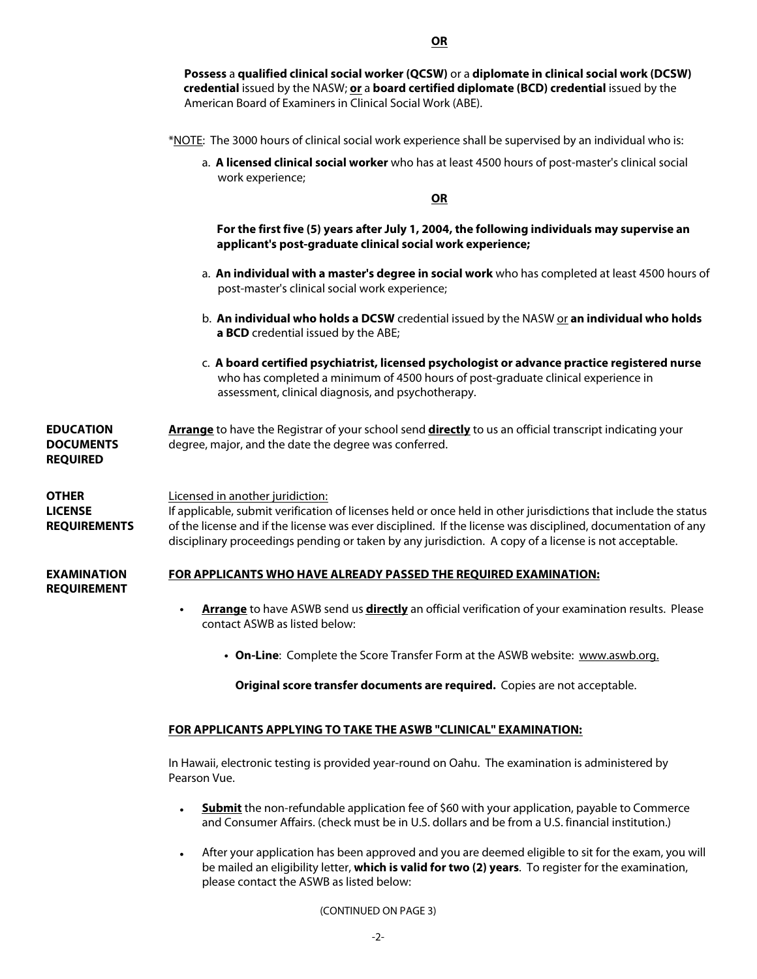**Possess** a **qualified clinical social worker (QCSW)** or a **diplomate in clinical social work (DCSW) credential** issued by the NASW; **or** a **board certified diplomate (BCD) credential** issued by the American Board of Examiners in Clinical Social Work (ABE).

- \*NOTE: The 3000 hours of clinical social work experience shall be supervised by an individual who is:
	- a. **A licensed clinical social worker** who has at least 4500 hours of post-master's clinical social work experience;

**OR**

 **For the first five (5) years after July 1, 2004, the following individuals may supervise an applicant's post-graduate clinical social work experience;**

- a. **An individual with a master's degree in social work** who has completed at least 4500 hours of post-master's clinical social work experience;
- b. An individual who holds a DCSW credential issued by the NASW or an individual who holds **a BCD** credential issued by the ABE;
- c. **A board certified psychiatrist, licensed psychologist or advance practice registered nurse** who has completed a minimum of 4500 hours of post-graduate clinical experience in assessment, clinical diagnosis, and psychotherapy.

**EDUCATION DOCUMENTS REQUIRED Arrange** to have the Registrar of your school send **directly** to us an official transcript indicating your degree, major, and the date the degree was conferred.

#### **OTHER LICENSE REQUIREMENTS** Licensed in another juridiction: If applicable, submit verification of licenses held or once held in other jurisdictions that include the status of the license and if the license was ever disciplined. If the license was disciplined, documentation of any disciplinary proceedings pending or taken by any jurisdiction. A copy of a license is not acceptable.

#### **EXAMINATION FOR APPLICANTS WHO HAVE ALREADY PASSED THE REQUIRED EXAMINATION:**

**REQUIREMENT**

- **Arrange** to have ASWB send us **directly** an official verification of your examination results. Please contact ASWB as listed below: •
	- **On-Line**: Complete the Score Transfer Form at the ASWB website: www.aswb.org.

**Original score transfer documents are required.** Copies are not acceptable.

## **FOR APPLICANTS APPLYING TO TAKE THE ASWB "CLINICAL" EXAMINATION:**

In Hawaii, electronic testing is provided year-round on Oahu. The examination is administered by Pearson Vue.

- **Submit** the non-refundable application fee of \$60 with your application, payable to Commerce and Consumer Affairs. (check must be in U.S. dollars and be from a U.S. financial institution.) •
- After your application has been approved and you are deemed eligible to sit for the exam, you will be mailed an eligibility letter, **which is valid for two (2) years**. To register for the examination, please contact the ASWB as listed below:

(CONTINUED ON PAGE 3)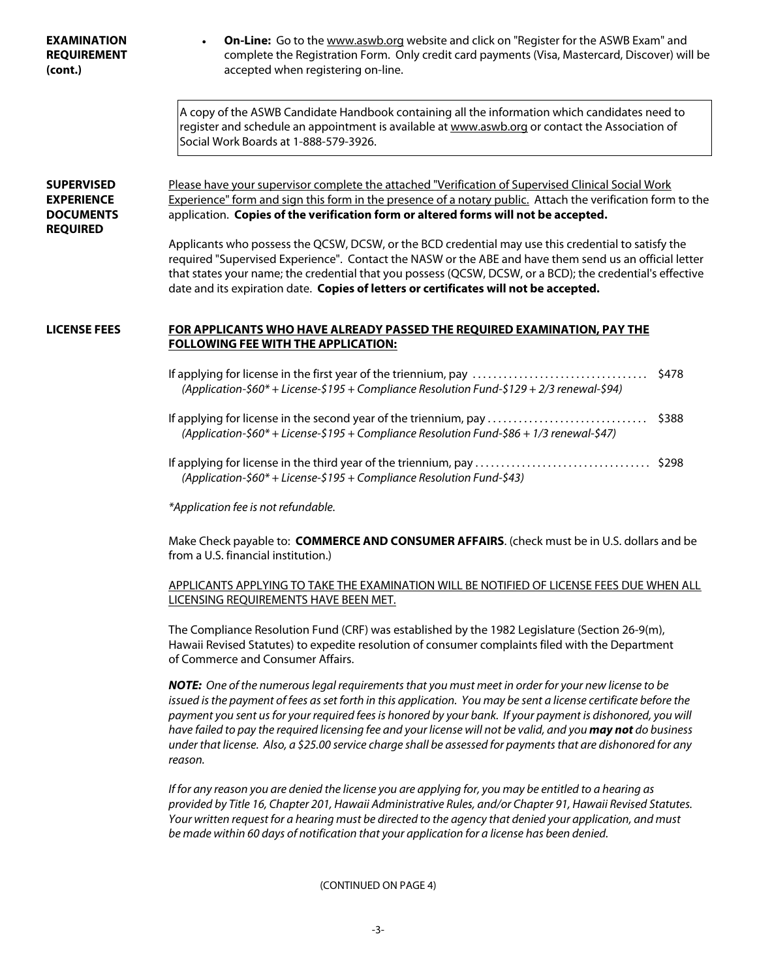| <b>EXAMINATION</b><br><b>REQUIREMENT</b><br>(cont.)                           | On-Line: Go to the www.aswb.org website and click on "Register for the ASWB Exam" and<br>complete the Registration Form. Only credit card payments (Visa, Mastercard, Discover) will be<br>accepted when registering on-line.                                                                                                                                                                                                                                                                                                                                                                                                          |  |  |  |  |  |
|-------------------------------------------------------------------------------|----------------------------------------------------------------------------------------------------------------------------------------------------------------------------------------------------------------------------------------------------------------------------------------------------------------------------------------------------------------------------------------------------------------------------------------------------------------------------------------------------------------------------------------------------------------------------------------------------------------------------------------|--|--|--|--|--|
|                                                                               | A copy of the ASWB Candidate Handbook containing all the information which candidates need to<br>register and schedule an appointment is available at www.aswb.org or contact the Association of<br>Social Work Boards at 1-888-579-3926.                                                                                                                                                                                                                                                                                                                                                                                              |  |  |  |  |  |
| <b>SUPERVISED</b><br><b>EXPERIENCE</b><br><b>DOCUMENTS</b><br><b>REQUIRED</b> | Please have your supervisor complete the attached "Verification of Supervised Clinical Social Work<br>Experience" form and sign this form in the presence of a notary public. Attach the verification form to the<br>application. Copies of the verification form or altered forms will not be accepted.<br>Applicants who possess the QCSW, DCSW, or the BCD credential may use this credential to satisfy the<br>required "Supervised Experience". Contact the NASW or the ABE and have them send us an official letter<br>that states your name; the credential that you possess (QCSW, DCSW, or a BCD); the credential's effective |  |  |  |  |  |
| LICENSE FEES                                                                  | date and its expiration date. Copies of letters or certificates will not be accepted.<br>FOR APPLICANTS WHO HAVE ALREADY PASSED THE REQUIRED EXAMINATION, PAY THE                                                                                                                                                                                                                                                                                                                                                                                                                                                                      |  |  |  |  |  |
|                                                                               | <b>FOLLOWING FEE WITH THE APPLICATION:</b>                                                                                                                                                                                                                                                                                                                                                                                                                                                                                                                                                                                             |  |  |  |  |  |
|                                                                               | If applying for license in the first year of the triennium, pay<br>\$478<br>(Application-\$60* + License-\$195 + Compliance Resolution Fund-\$129 + 2/3 renewal-\$94)                                                                                                                                                                                                                                                                                                                                                                                                                                                                  |  |  |  |  |  |
|                                                                               | If applying for license in the second year of the triennium, pay<br>\$388<br>.<br>(Application-\$60* + License-\$195 + Compliance Resolution Fund-\$86 + 1/3 renewal-\$47)                                                                                                                                                                                                                                                                                                                                                                                                                                                             |  |  |  |  |  |
|                                                                               | (Application-\$60* + License-\$195 + Compliance Resolution Fund-\$43)                                                                                                                                                                                                                                                                                                                                                                                                                                                                                                                                                                  |  |  |  |  |  |
|                                                                               | *Application fee is not refundable.                                                                                                                                                                                                                                                                                                                                                                                                                                                                                                                                                                                                    |  |  |  |  |  |
|                                                                               | Make Check payable to: COMMERCE AND CONSUMER AFFAIRS. (check must be in U.S. dollars and be<br>from a U.S. financial institution.)                                                                                                                                                                                                                                                                                                                                                                                                                                                                                                     |  |  |  |  |  |
|                                                                               | APPLICANTS APPLYING TO TAKE THE EXAMINATION WILL BE NOTIFIED OF LICENSE FEES DUE WHEN ALL<br>LICENSING REQUIREMENTS HAVE BEEN MET.                                                                                                                                                                                                                                                                                                                                                                                                                                                                                                     |  |  |  |  |  |
|                                                                               | The Compliance Resolution Fund (CRF) was established by the 1982 Legislature (Section 26-9(m),<br>Hawaii Revised Statutes) to expedite resolution of consumer complaints filed with the Department<br>of Commerce and Consumer Affairs.                                                                                                                                                                                                                                                                                                                                                                                                |  |  |  |  |  |
|                                                                               | NOTE: One of the numerous legal requirements that you must meet in order for your new license to be<br>issued is the payment of fees as set forth in this application. You may be sent a license certificate before the<br>payment you sent us for your required fees is honored by your bank. If your payment is dishonored, you will<br>have failed to pay the required licensing fee and your license will not be valid, and you may not do business<br>under that license. Also, a \$25.00 service charge shall be assessed for payments that are dishonored for any<br>reason.                                                    |  |  |  |  |  |
|                                                                               | If for any reason you are denied the license you are applying for, you may be entitled to a hearing as<br>provided by Title 16, Chapter 201, Hawaii Administrative Rules, and/or Chapter 91, Hawaii Revised Statutes.<br>Your written request for a hearing must be directed to the agency that denied your application, and must<br>be made within 60 days of notification that your application for a license has been denied.                                                                                                                                                                                                       |  |  |  |  |  |
|                                                                               | (CONTINUED ON PAGE 4)                                                                                                                                                                                                                                                                                                                                                                                                                                                                                                                                                                                                                  |  |  |  |  |  |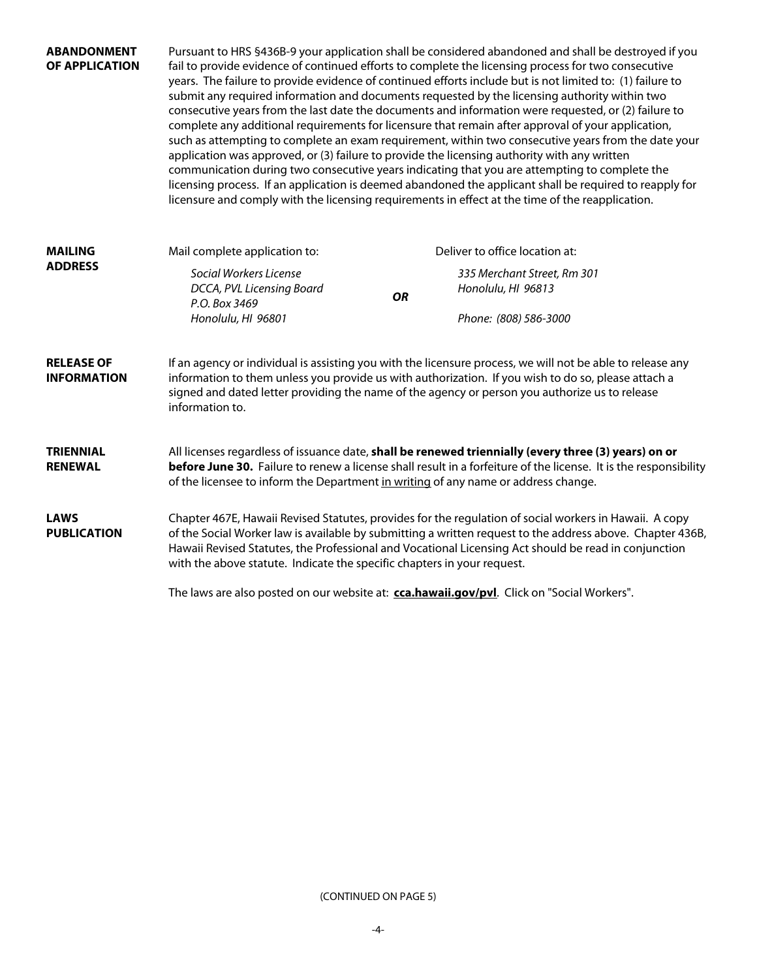| <b>ABANDONMENT</b><br>OF APPLICATION    | Pursuant to HRS §436B-9 your application shall be considered abandoned and shall be destroyed if you<br>fail to provide evidence of continued efforts to complete the licensing process for two consecutive<br>years. The failure to provide evidence of continued efforts include but is not limited to: (1) failure to<br>submit any required information and documents requested by the licensing authority within two<br>consecutive years from the last date the documents and information were requested, or (2) failure to<br>complete any additional requirements for licensure that remain after approval of your application,<br>such as attempting to complete an exam requirement, within two consecutive years from the date your<br>application was approved, or (3) failure to provide the licensing authority with any written<br>communication during two consecutive years indicating that you are attempting to complete the<br>licensing process. If an application is deemed abandoned the applicant shall be required to reapply for<br>licensure and comply with the licensing requirements in effect at the time of the reapplication. |                                                                                                                                                                                                                                                                                                                     |                                                   |  |  |  |
|-----------------------------------------|----------------------------------------------------------------------------------------------------------------------------------------------------------------------------------------------------------------------------------------------------------------------------------------------------------------------------------------------------------------------------------------------------------------------------------------------------------------------------------------------------------------------------------------------------------------------------------------------------------------------------------------------------------------------------------------------------------------------------------------------------------------------------------------------------------------------------------------------------------------------------------------------------------------------------------------------------------------------------------------------------------------------------------------------------------------------------------------------------------------------------------------------------------------|---------------------------------------------------------------------------------------------------------------------------------------------------------------------------------------------------------------------------------------------------------------------------------------------------------------------|---------------------------------------------------|--|--|--|
| <b>MAILING</b>                          | Mail complete application to:                                                                                                                                                                                                                                                                                                                                                                                                                                                                                                                                                                                                                                                                                                                                                                                                                                                                                                                                                                                                                                                                                                                                  |                                                                                                                                                                                                                                                                                                                     | Deliver to office location at:                    |  |  |  |
| <b>ADDRESS</b>                          | Social Workers License<br>DCCA, PVL Licensing Board<br>P.O. Box 3469                                                                                                                                                                                                                                                                                                                                                                                                                                                                                                                                                                                                                                                                                                                                                                                                                                                                                                                                                                                                                                                                                           | <b>OR</b>                                                                                                                                                                                                                                                                                                           | 335 Merchant Street, Rm 301<br>Honolulu, HI 96813 |  |  |  |
|                                         | Honolulu, HI 96801                                                                                                                                                                                                                                                                                                                                                                                                                                                                                                                                                                                                                                                                                                                                                                                                                                                                                                                                                                                                                                                                                                                                             |                                                                                                                                                                                                                                                                                                                     | Phone: (808) 586-3000                             |  |  |  |
| <b>RELEASE OF</b><br><b>INFORMATION</b> | information to.                                                                                                                                                                                                                                                                                                                                                                                                                                                                                                                                                                                                                                                                                                                                                                                                                                                                                                                                                                                                                                                                                                                                                | If an agency or individual is assisting you with the licensure process, we will not be able to release any<br>information to them unless you provide us with authorization. If you wish to do so, please attach a<br>signed and dated letter providing the name of the agency or person you authorize us to release |                                                   |  |  |  |
| <b>TRIENNIAL</b><br><b>RENEWAL</b>      | All licenses regardless of issuance date, shall be renewed triennially (every three (3) years) on or<br>before June 30. Failure to renew a license shall result in a forfeiture of the license. It is the responsibility<br>of the licensee to inform the Department in writing of any name or address change.                                                                                                                                                                                                                                                                                                                                                                                                                                                                                                                                                                                                                                                                                                                                                                                                                                                 |                                                                                                                                                                                                                                                                                                                     |                                                   |  |  |  |
| <b>LAWS</b><br><b>PUBLICATION</b>       | Chapter 467E, Hawaii Revised Statutes, provides for the regulation of social workers in Hawaii. A copy<br>of the Social Worker law is available by submitting a written request to the address above. Chapter 436B,<br>Hawaii Revised Statutes, the Professional and Vocational Licensing Act should be read in conjunction<br>with the above statute. Indicate the specific chapters in your request.                                                                                                                                                                                                                                                                                                                                                                                                                                                                                                                                                                                                                                                                                                                                                         |                                                                                                                                                                                                                                                                                                                     |                                                   |  |  |  |
|                                         | The laws are also posted on our website at: cca.hawaii.gov/pvl. Click on "Social Workers".                                                                                                                                                                                                                                                                                                                                                                                                                                                                                                                                                                                                                                                                                                                                                                                                                                                                                                                                                                                                                                                                     |                                                                                                                                                                                                                                                                                                                     |                                                   |  |  |  |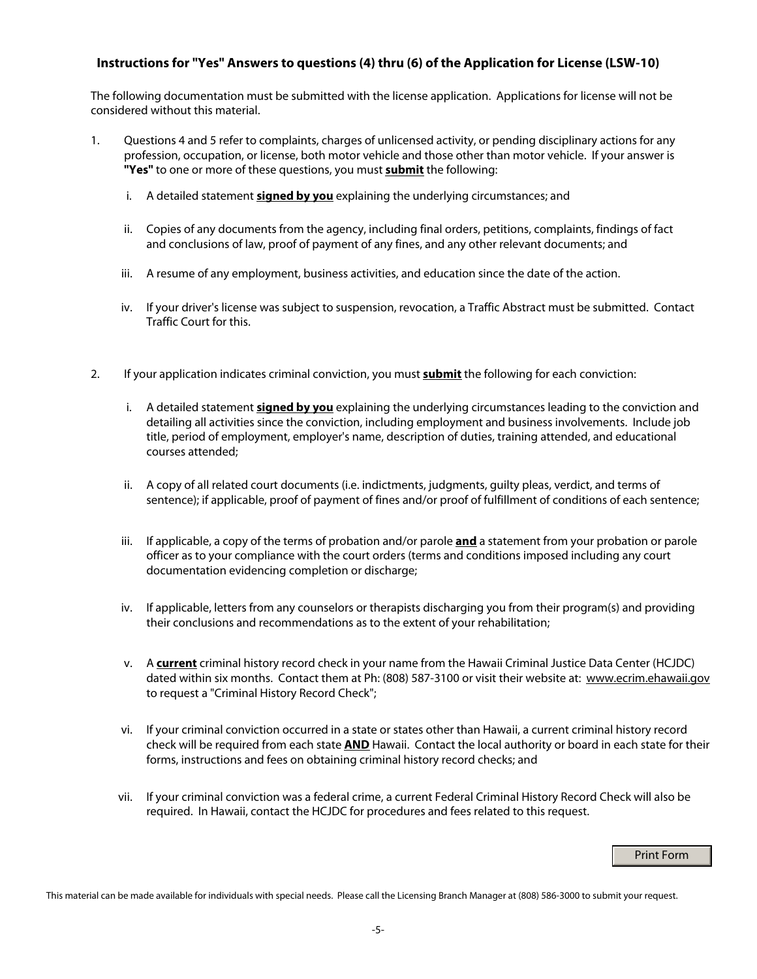# **Instructions for "Yes" Answers to questions (4) thru (6) of the Application for License (LSW-10)**

The following documentation must be submitted with the license application. Applications for license will not be considered without this material.

- 1. Questions 4 and 5 refer to complaints, charges of unlicensed activity, or pending disciplinary actions for any profession, occupation, or license, both motor vehicle and those other than motor vehicle. If your answer is **"Yes"** to one or more of these questions, you must **submit** the following:
	- i. A detailed statement **signed by you** explaining the underlying circumstances; and
	- ii. Copies of any documents from the agency, including final orders, petitions, complaints, findings of fact and conclusions of law, proof of payment of any fines, and any other relevant documents; and
	- iii. A resume of any employment, business activities, and education since the date of the action.
	- iv. If your driver's license was subject to suspension, revocation, a Traffic Abstract must be submitted. Contact Traffic Court for this.
- 2. If your application indicates criminal conviction, you must **submit** the following for each conviction:
	- i. A detailed statement **signed by you** explaining the underlying circumstances leading to the conviction and detailing all activities since the conviction, including employment and business involvements. Include job title, period of employment, employer's name, description of duties, training attended, and educational courses attended;
	- ii. A copy of all related court documents (i.e. indictments, judgments, guilty pleas, verdict, and terms of sentence); if applicable, proof of payment of fines and/or proof of fulfillment of conditions of each sentence;
	- iii. If applicable, a copy of the terms of probation and/or parole **and** a statement from your probation or parole officer as to your compliance with the court orders (terms and conditions imposed including any court documentation evidencing completion or discharge;
	- iv. If applicable, letters from any counselors or therapists discharging you from their program(s) and providing their conclusions and recommendations as to the extent of your rehabilitation;
	- v. A **current** criminal history record check in your name from the Hawaii Criminal Justice Data Center (HCJDC) dated within six months. Contact them at Ph: (808) 587-3100 or visit their website at: www.ecrim.ehawaii.gov to request a "Criminal History Record Check";
	- vi. If your criminal conviction occurred in a state or states other than Hawaii, a current criminal history record check will be required from each state **AND** Hawaii. Contact the local authority or board in each state for their forms, instructions and fees on obtaining criminal history record checks; and
	- vii. If your criminal conviction was a federal crime, a current Federal Criminal History Record Check will also be required. In Hawaii, contact the HCJDC for procedures and fees related to this request.

## Print Form

This material can be made available for individuals with special needs. Please call the Licensing Branch Manager at (808) 586-3000 to submit your request.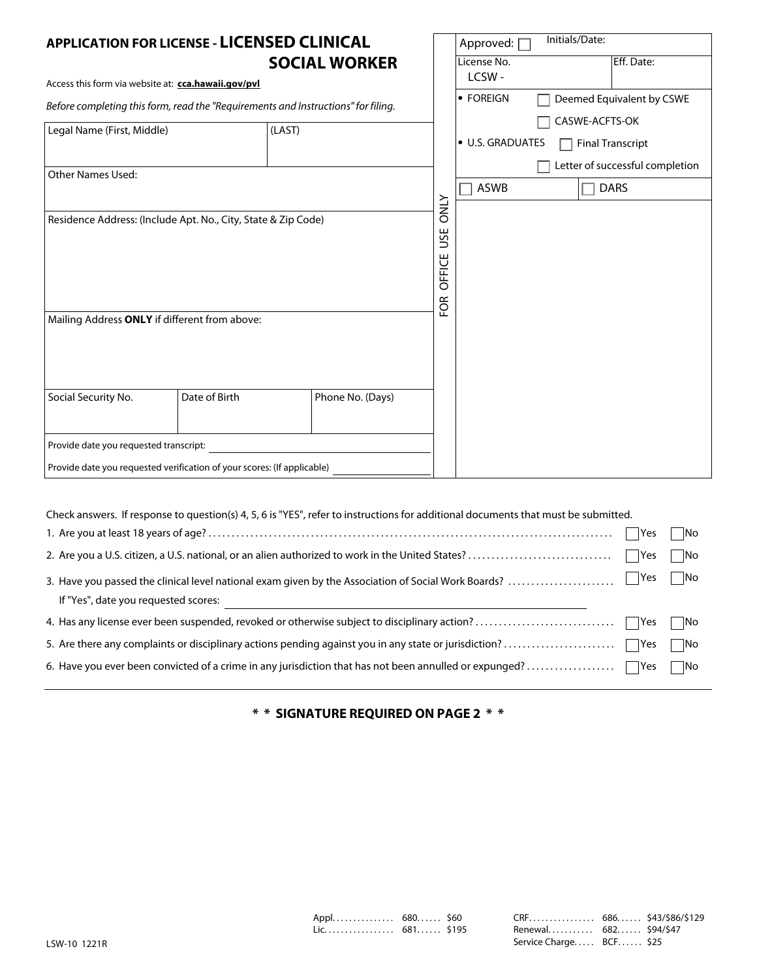| <b>APPLICATION FOR LICENSE - LICENSED CLINICAL</b>                                                             |                                                                                   |                      |                                     | Approved: 0      | Initials/Date: |                                 |  |  |
|----------------------------------------------------------------------------------------------------------------|-----------------------------------------------------------------------------------|----------------------|-------------------------------------|------------------|----------------|---------------------------------|--|--|
|                                                                                                                |                                                                                   | <b>SOCIAL WORKER</b> |                                     | License No.      |                | Eff. Date:                      |  |  |
| Access this form via website at: cca.hawaii.gov/pvl                                                            |                                                                                   |                      |                                     | LCSW-            |                |                                 |  |  |
|                                                                                                                | Before completing this form, read the "Requirements and Instructions" for filing. |                      |                                     | • FOREIGN        |                | Deemed Equivalent by CSWE       |  |  |
| Legal Name (First, Middle)                                                                                     | (LAST)                                                                            |                      |                                     |                  | CASWE-ACFTS-OK |                                 |  |  |
|                                                                                                                |                                                                                   |                      |                                     | · U.S. GRADUATES | ×.             | <b>Final Transcript</b>         |  |  |
| <b>Other Names Used:</b>                                                                                       |                                                                                   |                      |                                     |                  |                | Letter of successful completion |  |  |
|                                                                                                                |                                                                                   |                      |                                     | <b>ASWB</b>      |                | <b>DARS</b>                     |  |  |
| Residence Address: (Include Apt. No., City, State & Zip Code)<br>Mailing Address ONLY if different from above: |                                                                                   |                      | <b>ONLY</b><br>USE<br>OFFICE<br>FOR |                  |                |                                 |  |  |
| Social Security No.                                                                                            | Date of Birth                                                                     | Phone No. (Days)     |                                     |                  |                |                                 |  |  |
| Provide date you requested transcript:                                                                         |                                                                                   |                      |                                     |                  |                |                                 |  |  |
| Provide date you requested verification of your scores: (If applicable)                                        |                                                                                   |                      |                                     |                  |                |                                 |  |  |

| Check answers. If response to question(s) 4, 5, 6 is "YES", refer to instructions for additional documents that must be submitted. |        |       |
|------------------------------------------------------------------------------------------------------------------------------------|--------|-------|
|                                                                                                                                    | Yes    | ∣ ∣No |
|                                                                                                                                    |        | No    |
| 3. Have you passed the clinical level national exam given by the Association of Social Work Boards?                                | Yes No |       |
| If "Yes", date you requested scores:                                                                                               |        |       |
|                                                                                                                                    |        |       |
|                                                                                                                                    |        | l INo |
|                                                                                                                                    |        |       |
|                                                                                                                                    |        |       |

**\* \* SIGNATURE REQUIRED ON PAGE 2 \* \***